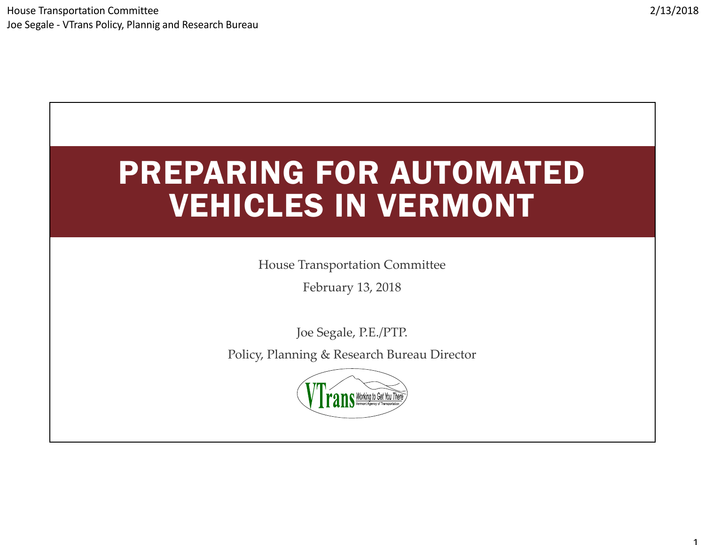# PREPARING FOR AUTOMATED VEHICLES IN VERMONT

House Transportation Committee

February 13, 2018

Joe Segale, P.E./PTP.

Policy, Planning & Research Bureau Director

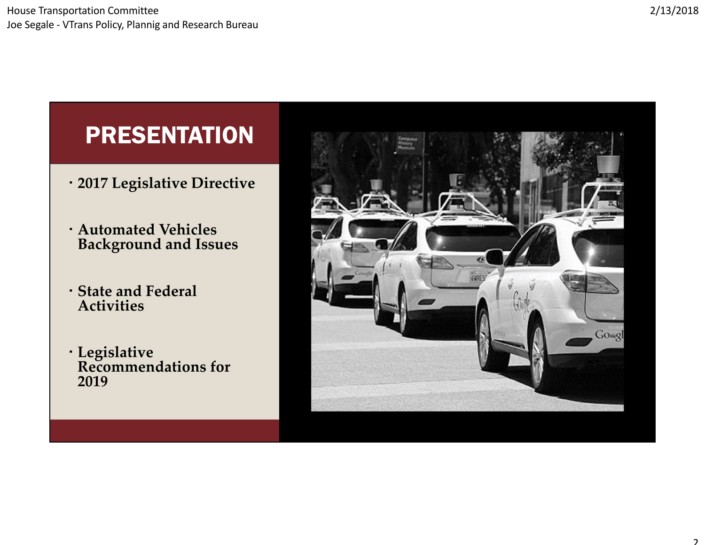#### PRESENTATION

- **2017 Legislative Directive**
- **Automated Vehicles Background and Issues**
- **State and Federal Activities**
- **Legislative Recommendations for 2019**

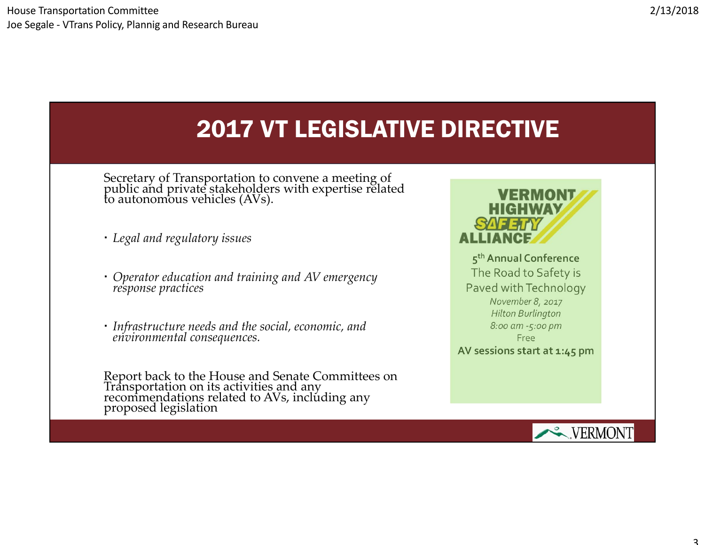### 2017 VT LEGISLATIVE DIRECTIVE

Secretary of Transportation to convene <sup>a</sup> meeting of public and private stakeholders with expertise related<br>to autonomous vehicles (AVs).

- *Legal and regulatory issues*
- *Operator education and training and AV emergency response practices*
- *Infrastructure needs and the social, economic, and environmental consequences.*

Report back to the House and Senate Committees on<br>Transportation on its activities and any<br>recommendations related to AVs, including any proposed legislation



**<sup>5</sup>thAnnual Conference** The Road to Safety is Paved withTechnology *November 8, 2017 Hilton Burlington 8:00 am ‐5:00 pm* Free

**AV sessions start at 1:45 pm**

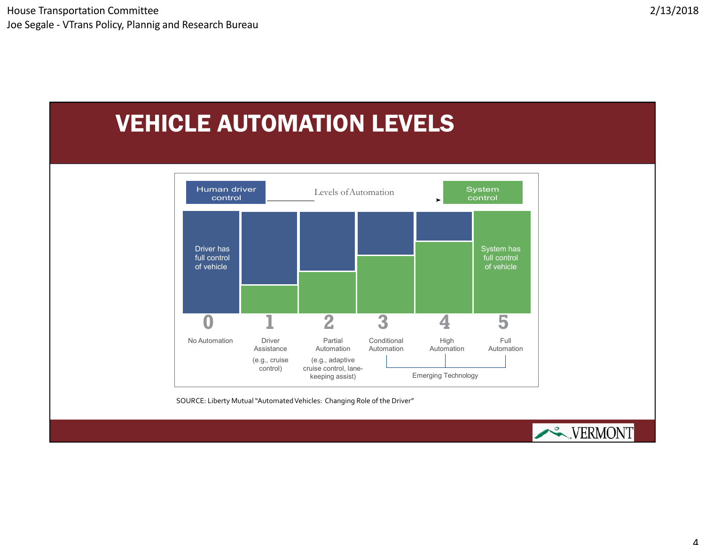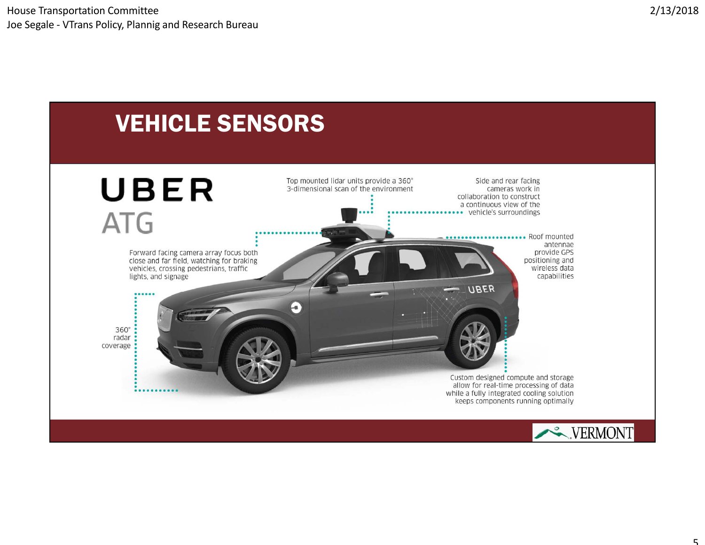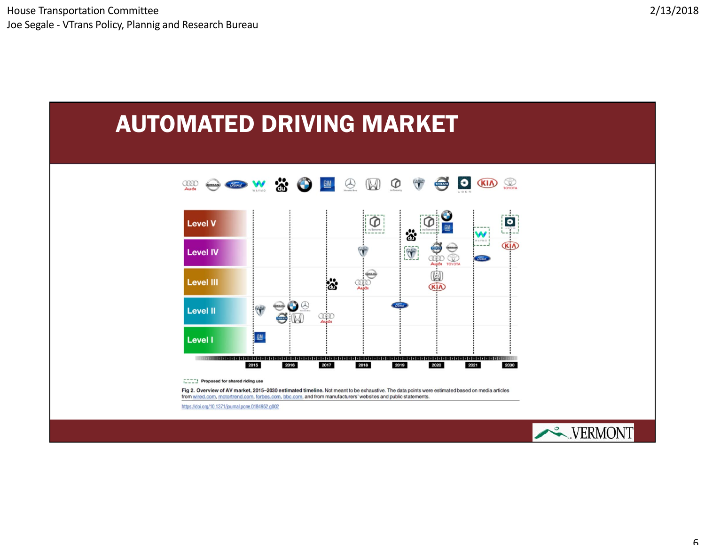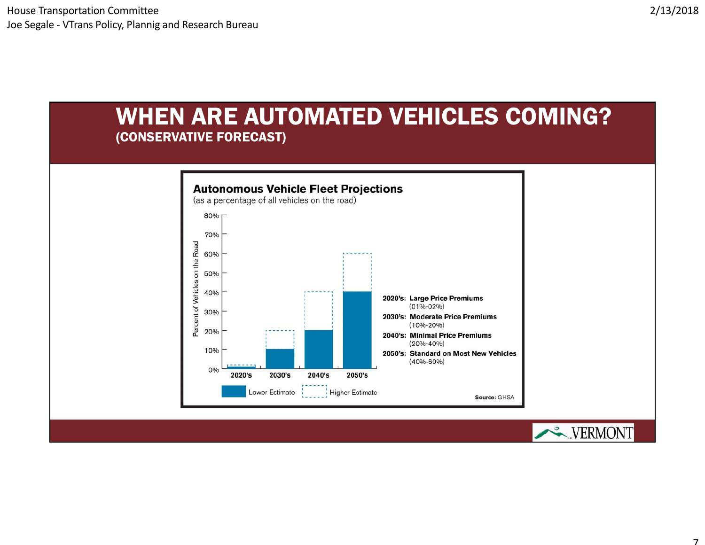#### WHEN ARE AUTOMATED VEHICLES COMING? (CONSERVATIVE FORECAST)

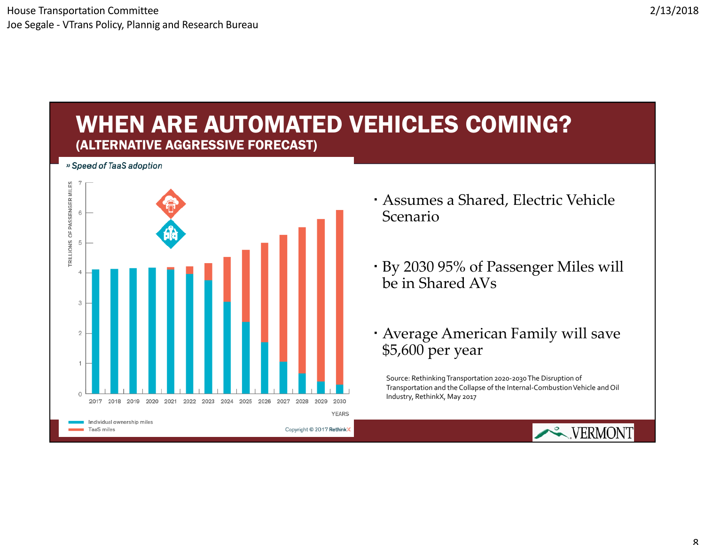#### 2/13/2018

#### WHEN ARE AUTOMATED VEHICLES COMING? (ALTERNATIVE AGGRESSIVE FORECAST)

» Speed of TaaS adoption



- Assumes <sup>a</sup> Shared, Electric Vehicle Scenario
- By 2030 95% of Passenger Miles will be in Shared AVs
- Average American Family will save \$5,600 per year

Source: RethinkingTransportation <sup>2020</sup>‐2030The Disruption of Transportation and the Collapse of the Internal‐CombustionVehicle and Oil Industry, RethinkX, May 2017

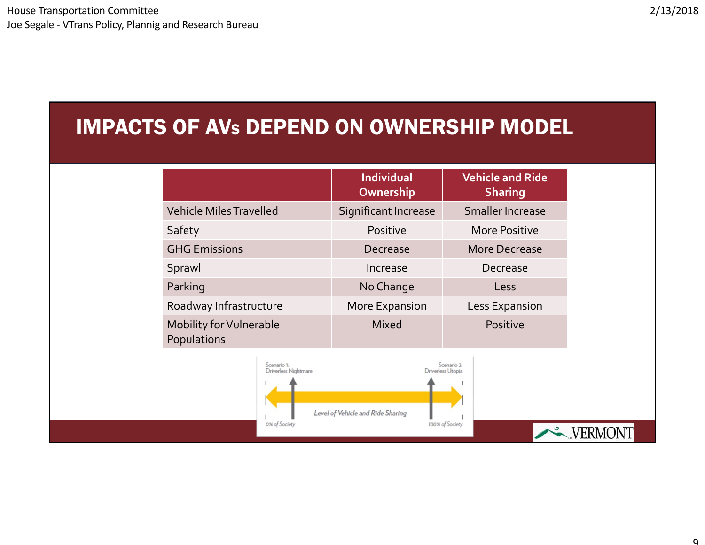#### IMPACTS OF AVS DEPEND ON OWNERSHIP MODEL

|                                                      | <b>Individual</b><br>Ownership    | <b>Vehicle and Ride</b><br><b>Sharing</b>           |
|------------------------------------------------------|-----------------------------------|-----------------------------------------------------|
| <b>Vehicle Miles Travelled</b>                       | Significant Increase              | Smaller Increase                                    |
| Safety                                               | Positive                          | <b>More Positive</b>                                |
| <b>GHG Emissions</b>                                 | Decrease                          | More Decrease                                       |
| Sprawl                                               | Increase                          | Decrease                                            |
| Parking                                              | No Change                         | Less                                                |
| Roadway Infrastructure                               | More Expansion                    | Less Expansion                                      |
| Mobility for Vulnerable<br>Populations               | <b>Mixed</b>                      | Positive                                            |
| Scenario 1:<br>Driverless Nightmare<br>0% of Society | Level of Vehicle and Ride Sharing | Scenario 2:<br>Driverless Utopia<br>100% of Society |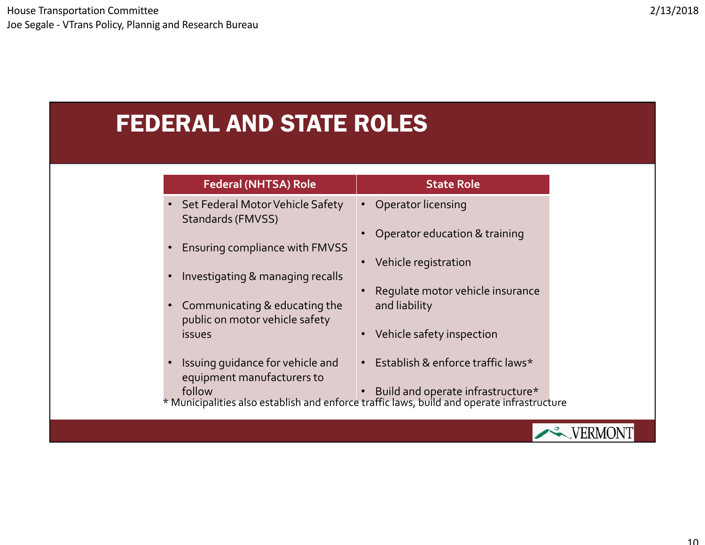### FEDERAL AND STATE ROLES

| <b>Federal (NHTSA) Role</b>                                                  | <b>State Role</b>                                                                                                               |
|------------------------------------------------------------------------------|---------------------------------------------------------------------------------------------------------------------------------|
| Set Federal Motor Vehicle Safety<br>Standards (FMVSS)                        | Operator licensing<br>$\bullet$                                                                                                 |
| Ensuring compliance with FMVSS                                               | Operator education & training                                                                                                   |
| Investigating & managing recalls                                             | Vehicle registration<br>$\bullet$                                                                                               |
|                                                                              | Requlate motor vehicle insurance                                                                                                |
| Communicating & educating the<br>$\bullet$<br>public on motor vehicle safety | and liability                                                                                                                   |
| <i>issues</i>                                                                | Vehicle safety inspection<br>$\bullet$                                                                                          |
| Issuing guidance for vehicle and<br>equipment manufacturers to               | Establish & enforce traffic laws*<br>$\bullet$                                                                                  |
| follow                                                                       | Build and operate infrastructure*<br>* Municipalities also establish and enforce traffic laws, build and operate infrastructure |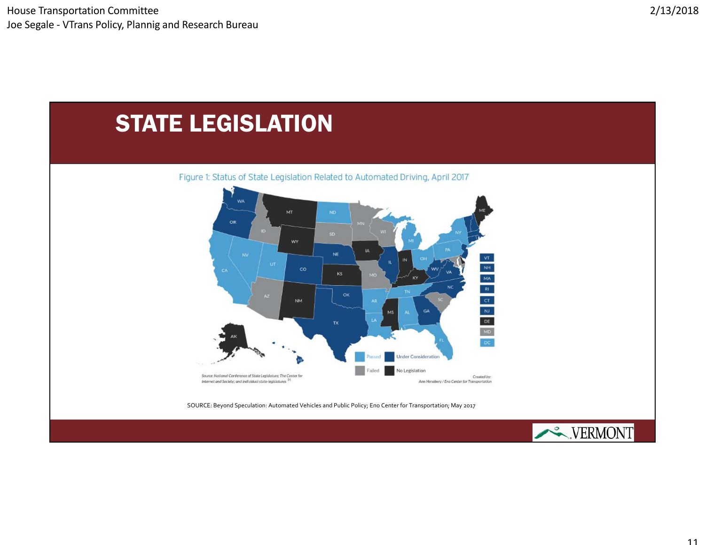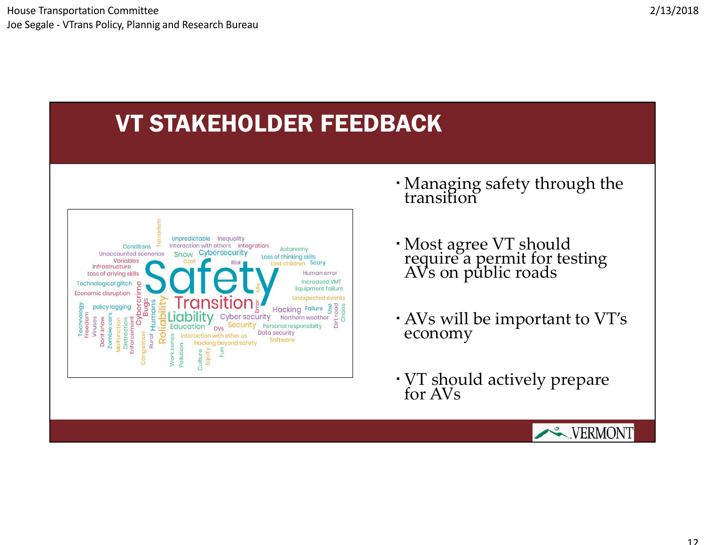## VT STAKEHOLDER FEEDBACK



- Managing safety through the transition
- Most agree VT should require a permit for testing<br>AVs on public roads
- AVs will be important to VT's economy
- VT should actively prepare for AVs

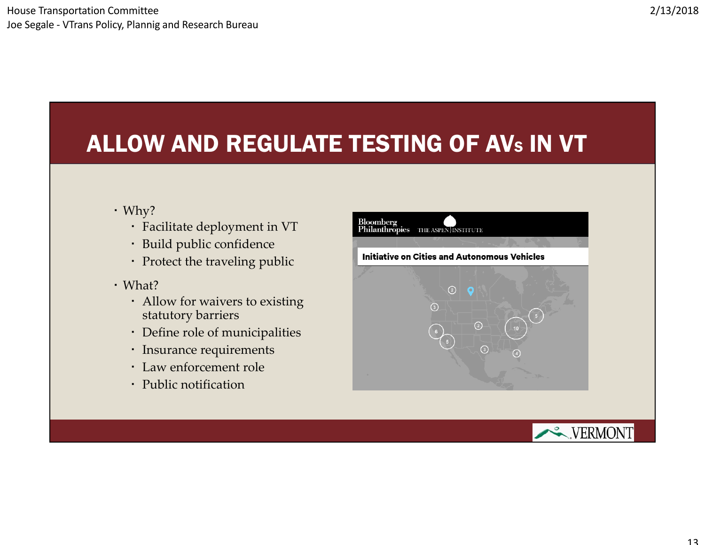## ALLOW AND REGULATE TESTING OF AVS IN VT

- Why?
	- Facilitate deployment in VT
	- Build public confidence
	- Protect the traveling public
- What?
	- Allow for waivers to existing statutory barriers
	- Define role of municipalities
	- Insurance requirements
	- Law enforcement role
	- Public notification

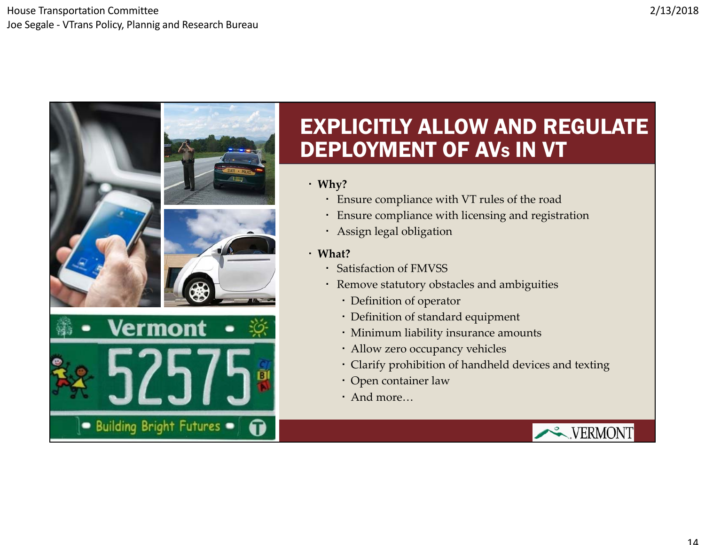#### House Transportation Committee Joe Segale ‐ VTrans Policy, Plannig and Research Bureau



#### EXPLICITLY ALLOW AND REGULATE DEPLOYMENT OF AVS IN VT

#### **Why?**

- Ensure compliance with VT rules of the road
- Ensure compliance with licensing and registration
- Assign legal obligation
- **What?**
	- Satisfaction of FMVSS
	- Remove statutory obstacles and ambiguities
		- Definition of operator
		- Definition of standard equipment
		- Minimum liability insurance amounts
		- Allow zero occupancy vehicles
		- Clarify prohibition of handheld devices and texting
		- Open container law
		- And more…